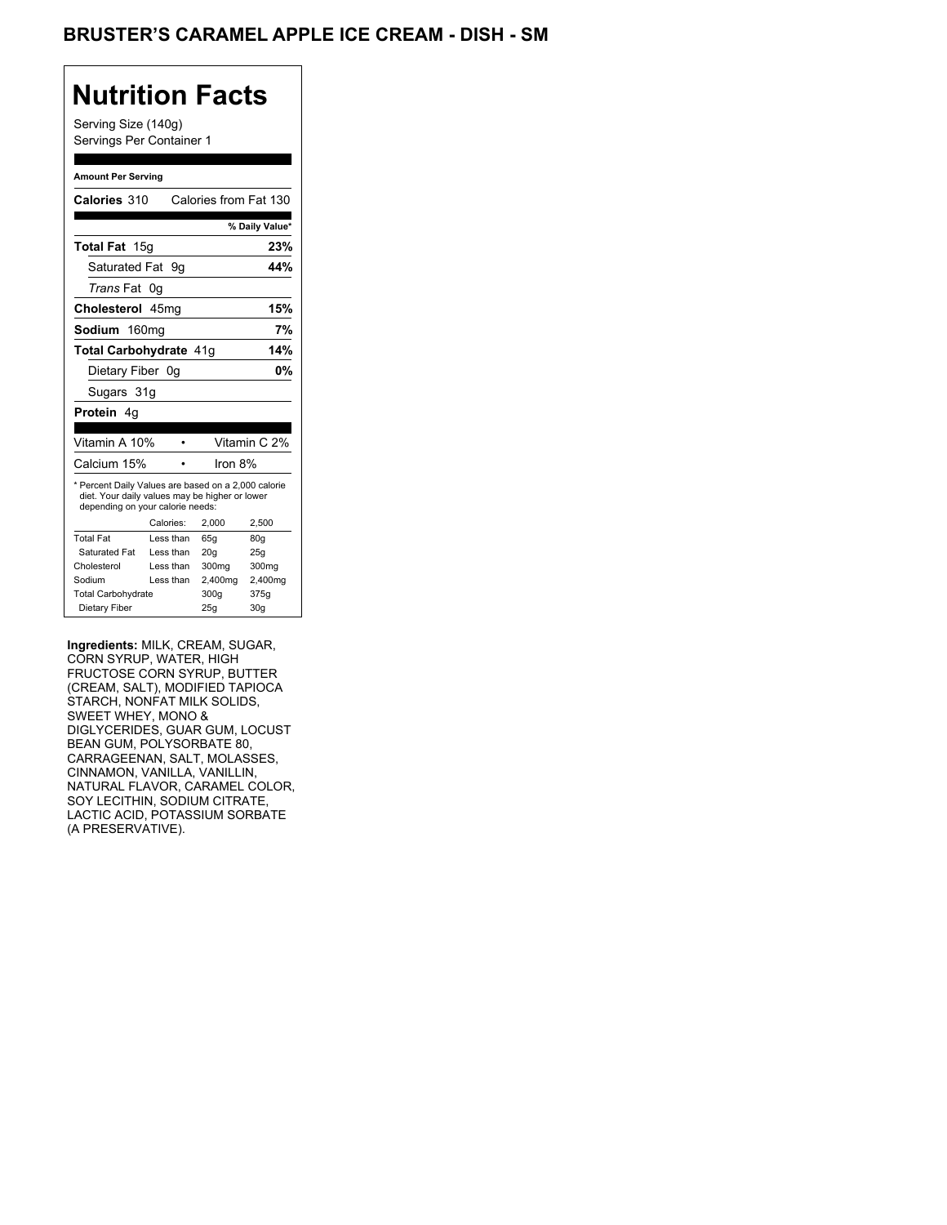## BRUSTER'S CARAMEL APPLE ICE CREAM - DISH - SM

## **Nutrition Facts**

Serving Size (140g) Servings Per Container 1

#### **Amount Per Serving**

|                                                                                                                                           |         | % Daily Value*                   |  |
|-------------------------------------------------------------------------------------------------------------------------------------------|---------|----------------------------------|--|
|                                                                                                                                           |         | 23%                              |  |
| Saturated Fat 9q                                                                                                                          |         | 44%                              |  |
| 0g                                                                                                                                        |         |                                  |  |
| Cholesterol 45mg                                                                                                                          |         | 15%                              |  |
| 7%<br>Sodium 160mg                                                                                                                        |         |                                  |  |
| 14%<br>Total Carbohydrate 41q                                                                                                             |         |                                  |  |
| Dietary Fiber 0g                                                                                                                          |         | 0%                               |  |
| Sugars 31g                                                                                                                                |         |                                  |  |
|                                                                                                                                           |         |                                  |  |
|                                                                                                                                           |         |                                  |  |
|                                                                                                                                           |         | Vitamin C 2%                     |  |
|                                                                                                                                           |         |                                  |  |
| * Percent Daily Values are based on a 2,000 calorie<br>diet. Your daily values may be higher or lower<br>depending on your calorie needs: |         |                                  |  |
|                                                                                                                                           |         |                                  |  |
| Calories:                                                                                                                                 | 2.000   | 2,500                            |  |
| Less than                                                                                                                                 | 65q     | 80q                              |  |
| Less than                                                                                                                                 | 20q     | 25q                              |  |
| Less than                                                                                                                                 | 300mg   | 300mg                            |  |
| Less than                                                                                                                                 | 2,400mg | 2,400mg                          |  |
|                                                                                                                                           | 300q    | 375g                             |  |
|                                                                                                                                           |         | Calories from Fat 130<br>Iron 8% |  |

**Ingredients:** MILK, CREAM, SUGAR, CORN SYRUP, WATER, HIGH FRUCTOSE CORN SYRUP, BUTTER (CREAM, SALT), MODIFIED TAPIOCA STARCH, NONFAT MILK SOLIDS, SWEET WHEY, MONO & DIGLYCERIDES, GUAR GUM, LOCUST BEAN GUM, POLYSORBATE 80, CARRAGEENAN, SALT, MOLASSES, CINNAMON, VANILLA, VANILLIN, NATURAL FLAVOR, CARAMEL COLOR, SOY LECITHIN, SODIUM CITRATE, LACTIC ACID, POTASSIUM SORBATE (A PRESERVATIVE).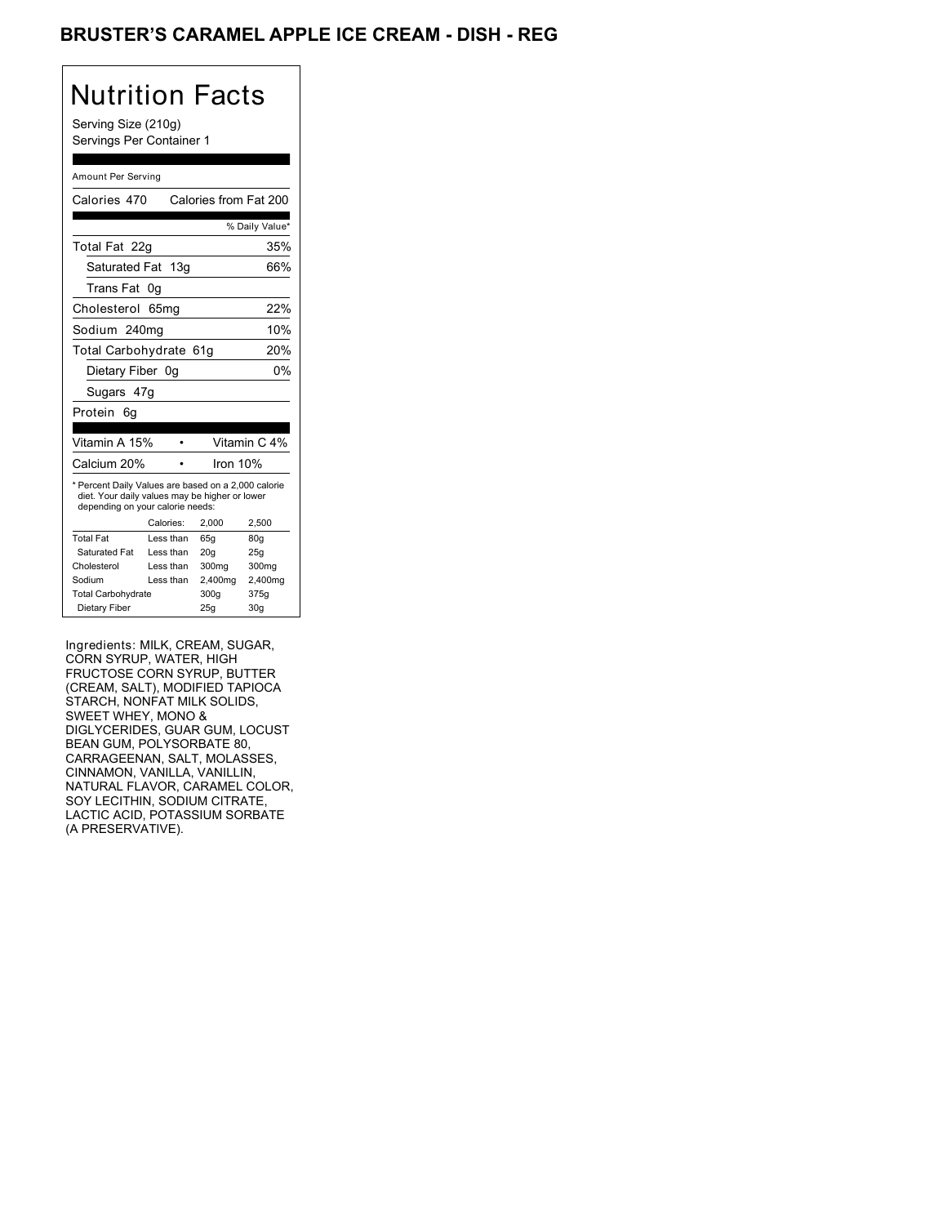## BRUSTER'S CARAMEL APPLE ICE CREAM - DISH - REG

#### Nutrition Facts Serving Size (210g) Servings Per Container 1 Amount Per Serving Calories 470 Calories from Fat 200 % Daily Value\* Total Fat 22g 35% Saturated Fat 13g 66% Trans Fat 0g Cholesterol 65mg 22% Sodium 240mg 10% Total Carbohydrate 61g 20% Dietary Fiber 0g 0% Sugars 47g Protein 6g Vitamin A 15% • Vitamin C 4% Calcium 20% • Iron 10% \* Percent Daily Values are based on a 2,000 calorie diet. Your daily values may be higher or lower depending on your calorie needs: Calories: 2,000 2,500 Total Fat Less than 65g 80g<br>Saturated Fat Less than 20g 25g Saturated Fat Less than 20g Cholesterol Less than 300mg 300mg<br>Sodium Less than 2,400mg 2,400mg Less than  $2,400$ mg  $2,400$ <br>te  $300g$   $375g$ Total Carbohydrate Dietary Fiber 25g 30g

Ingredients: MILK, CREAM, SUGAR, CORN SYRUP, WATER, HIGH FRUCTOSE CORN SYRUP, BUTTER (CREAM, SALT), MODIFIED TAPIOCA STARCH, NONFAT MILK SOLIDS, SWEET WHEY, MONO & DIGLYCERIDES, GUAR GUM, LOCUST BEAN GUM, POLYSORBATE 80, CARRAGEENAN, SALT, MOLASSES, CINNAMON, VANILLA, VANILLIN, NATURAL FLAVOR, CARAMEL COLOR, SOY LECITHIN, SODIUM CITRATE, LACTIC ACID, POTASSIUM SORBATE (A PRESERVATIVE).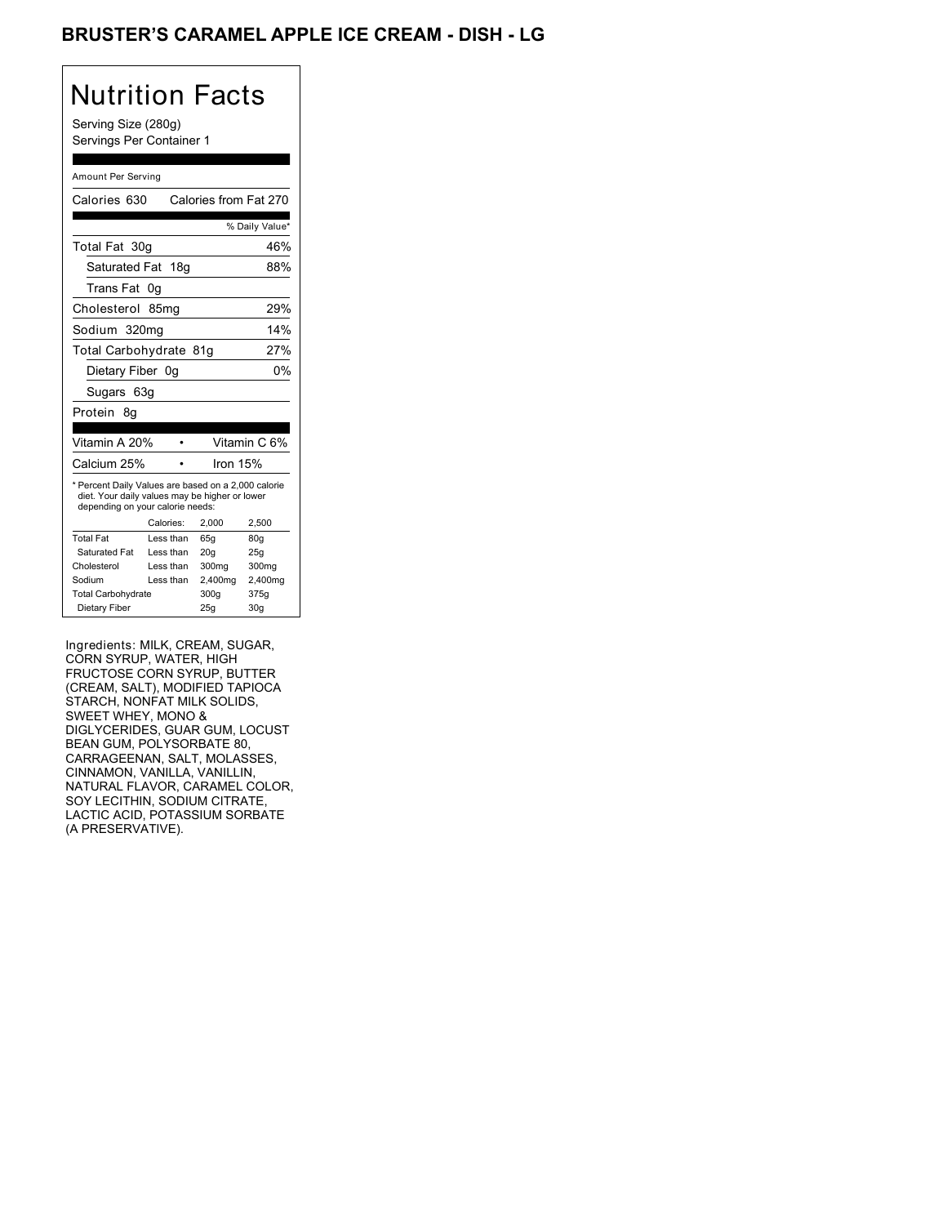## BRUSTER'S CARAMEL APPLE ICE CREAM - DISH - LG

### Nutrition Facts Serving Size (280g) Servings Per Container 1 Amount Per Serving Calories 630 Calories from Fat 270 % Daily Value\* Total Fat 30g 46% Saturated Fat 18g 88% Trans Fat 0g Cholesterol 85mg 29% Sodium 320mg 14% Total Carbohydrate 81g 27% Dietary Fiber 0g 0% Sugars 63g Protein 8g

| .00000<br>◡                                                                                                                                                     |           |          |              |
|-----------------------------------------------------------------------------------------------------------------------------------------------------------------|-----------|----------|--------------|
|                                                                                                                                                                 |           |          |              |
| Vitamin A 20%                                                                                                                                                   |           |          | Vitamin C 6% |
| Calcium 25%                                                                                                                                                     |           | Iron 15% |              |
| * Percent Daily Values are based on a 2,000 calorie<br>diet. Your daily values may be higher or lower<br>depending on your calorie needs:<br>Calories:<br>2.000 |           |          | 2.500        |
| <b>Total Fat</b>                                                                                                                                                | Less than | 65q      | 80q          |
| Saturated Fat                                                                                                                                                   | Less than | 20q      | 25q          |
|                                                                                                                                                                 |           |          |              |
| Cholesterol                                                                                                                                                     | Less than | 300mg    | 300mg        |
| Sodium                                                                                                                                                          | Less than | 2.400mg  | 2.400mg      |
| <b>Total Carbohydrate</b>                                                                                                                                       |           | 300q     | 375g         |
| Dietary Fiber                                                                                                                                                   |           | 25q      | 30a          |

Ingredients: MILK, CREAM, SUGAR, CORN SYRUP, WATER, HIGH FRUCTOSE CORN SYRUP, BUTTER (CREAM, SALT), MODIFIED TAPIOCA STARCH, NONFAT MILK SOLIDS, SWEET WHEY, MONO & DIGLYCERIDES, GUAR GUM, LOCUST BEAN GUM, POLYSORBATE 80, CARRAGEENAN, SALT, MOLASSES, CINNAMON, VANILLA, VANILLIN, NATURAL FLAVOR, CARAMEL COLOR, SOY LECITHIN, SODIUM CITRATE, LACTIC ACID, POTASSIUM SORBATE (A PRESERVATIVE).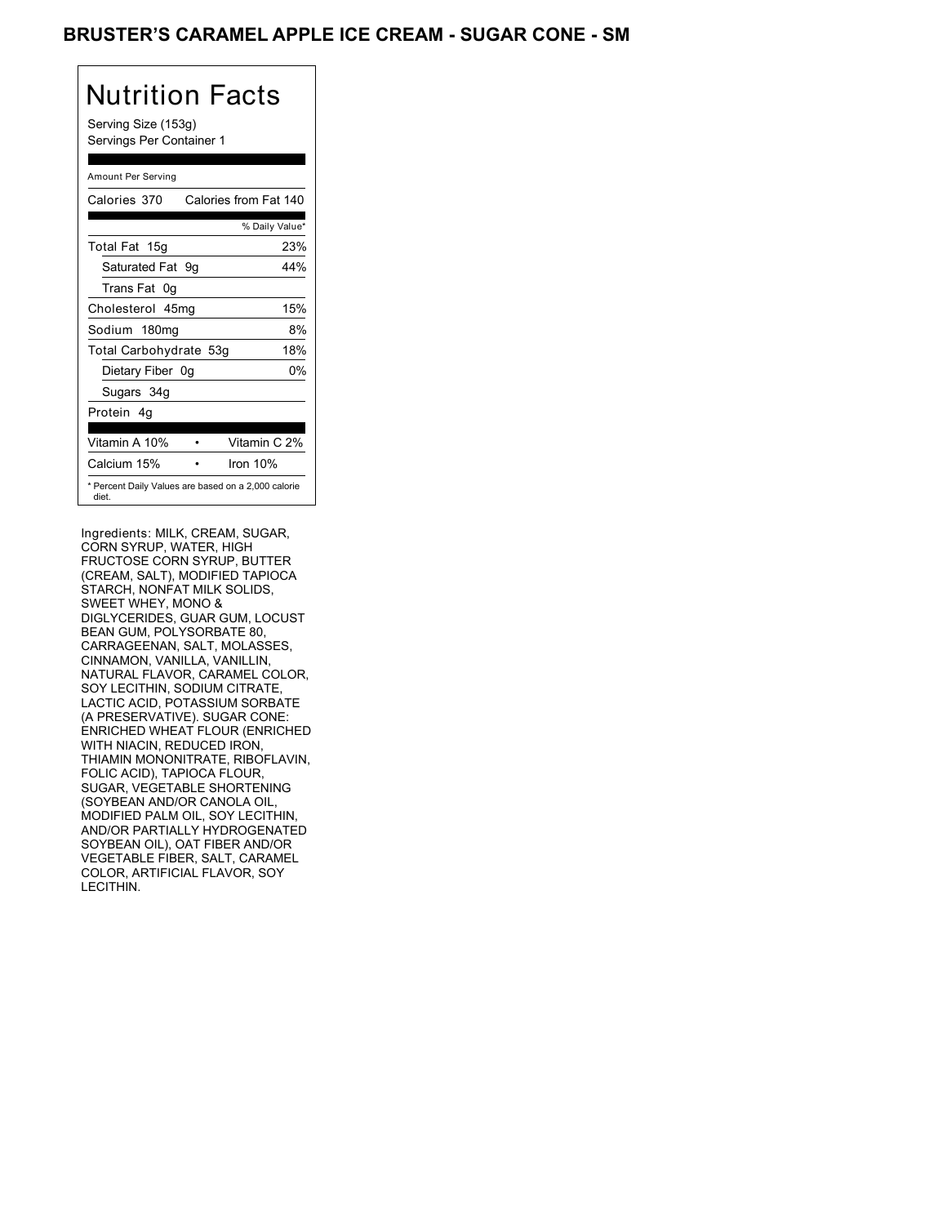### BRUSTER'S CARAMEL APPLE ICE CREAM - SUGAR CONE - SM

| Nutrition Facts<br>Serving Size (153g)<br>Servings Per Container 1 |
|--------------------------------------------------------------------|
| Amount Per Serving                                                 |
| Calories from Fat 140<br>Calories 370                              |
| % Daily Value*                                                     |
| Total Fat 15g<br>23%                                               |
| Saturated Fat<br>44%<br>9g                                         |
| Trans Fat 0q                                                       |
| 15%<br>Cholesterol 45mg                                            |
| 8%<br>Sodium 180mg                                                 |
| 18%<br>Total Carbohydrate 53g                                      |
| 0%<br>Dietary Fiber 0g                                             |
| Sugars 34g                                                         |
| Protein 4q                                                         |
| Vitamin C 2%<br>Vitamin A 10%                                      |
|                                                                    |
| Calcium 15%<br>Iron $10%$                                          |
| * Percent Daily Values are based on a 2,000 calorie<br>diet        |

Ingredients: MILK, CREAM, SUGAR, CORN SYRUP, WATER, HIGH FRUCTOSE CORN SYRUP, BUTTER (CREAM, SALT), MODIFIED TAPIOCA STARCH, NONFAT MILK SOLIDS, SWEET WHEY, MONO & DIGLYCERIDES, GUAR GUM, LOCUST BEAN GUM, POLYSORBATE 80, CARRAGEENAN, SALT, MOLASSES, CINNAMON, VANILLA, VANILLIN, NATURAL FLAVOR, CARAMEL COLOR, SOY LECITHIN, SODIUM CITRATE, LACTIC ACID, POTASSIUM SORBATE (A PRESERVATIVE). SUGAR CONE: ENRICHED WHEAT FLOUR (ENRICHED WITH NIACIN, REDUCED IRON, THIAMIN MONONITRATE, RIBOFLAVIN, FOLIC ACID), TAPIOCA FLOUR, SUGAR, VEGETABLE SHORTENING (SOYBEAN AND/OR CANOLA OIL, MODIFIED PALM OIL, SOY LECITHIN, AND/OR PARTIALLY HYDROGENATED SOYBEAN OIL), OAT FIBER AND/OR VEGETABLE FIBER, SALT, CARAMEL COLOR, ARTIFICIAL FLAVOR, SOY LECITHIN.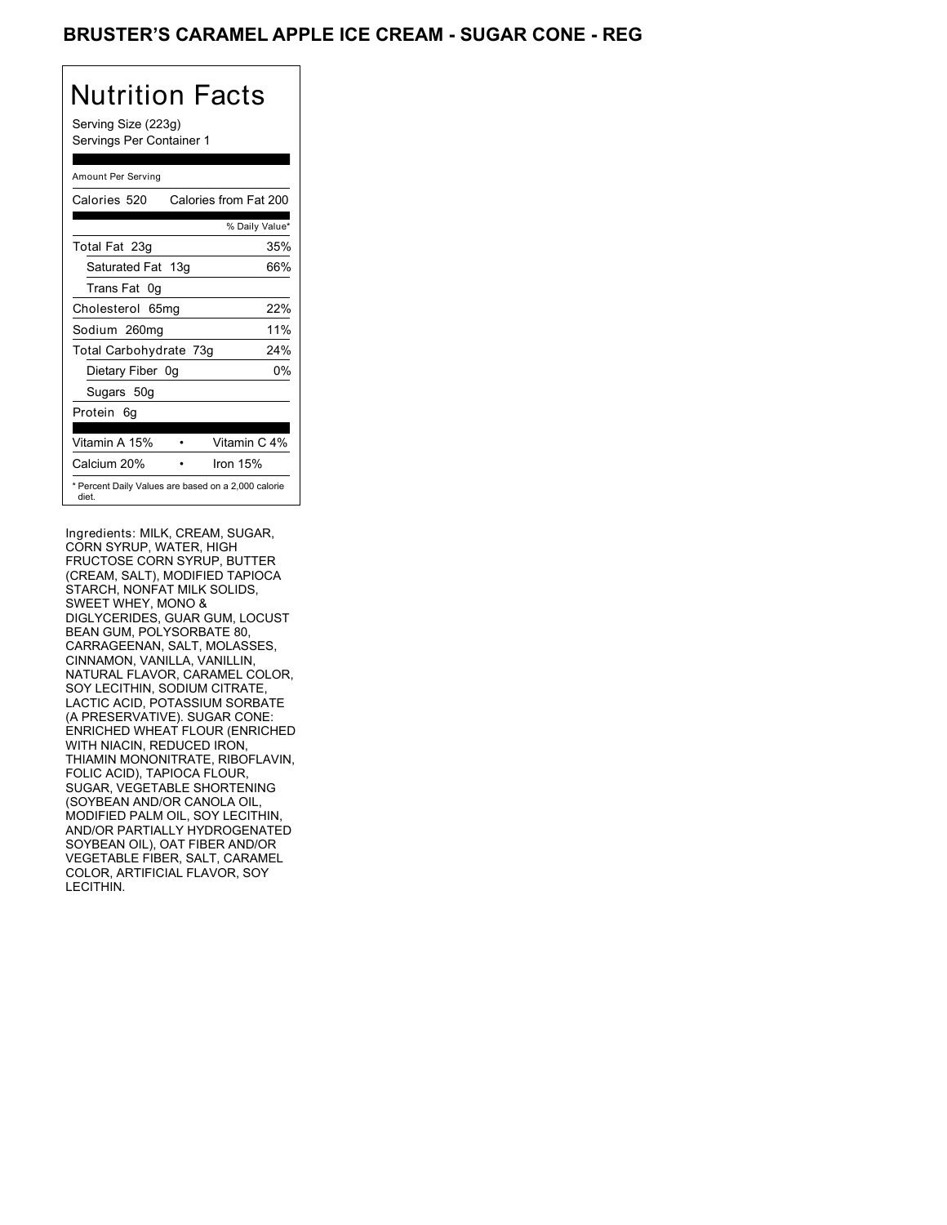### BRUSTER'S CARAMEL APPLE ICE CREAM - SUGAR CONE - REG

# Nutrition Facts

Serving Size (223g) Servings Per Container 1

#### Amount Per Serving

| Calories 520           | Calories from Fat 200                               |
|------------------------|-----------------------------------------------------|
|                        | % Daily Value*                                      |
| Total Fat 23g          | 35%                                                 |
| Saturated Fat 13g      | 66%                                                 |
| Trans Fat 0q           |                                                     |
| Cholesterol 65mg       | 22%                                                 |
| Sodium 260mg           | 11%                                                 |
| Total Carbohydrate 73g | 24%                                                 |
| Dietary Fiber 0g       | 0%                                                  |
| Sugars 50g             |                                                     |
| Protein 6q             |                                                     |
|                        |                                                     |
| Vitamin A 15%          | Vitamin C 4%                                        |
| Calcium 20%            | Iron 15%                                            |
| diet.                  | * Percent Daily Values are based on a 2,000 calorie |

Ingredients: MILK, CREAM, SUGAR, CORN SYRUP, WATER, HIGH FRUCTOSE CORN SYRUP, BUTTER (CREAM, SALT), MODIFIED TAPIOCA STARCH, NONFAT MILK SOLIDS, SWEET WHEY, MONO & DIGLYCERIDES, GUAR GUM, LOCUST BEAN GUM, POLYSORBATE 80, CARRAGEENAN, SALT, MOLASSES, CINNAMON, VANILLA, VANILLIN, NATURAL FLAVOR, CARAMEL COLOR, SOY LECITHIN, SODIUM CITRATE, LACTIC ACID, POTASSIUM SORBATE (A PRESERVATIVE). SUGAR CONE: ENRICHED WHEAT FLOUR (ENRICHED WITH NIACIN, REDUCED IRON, THIAMIN MONONITRATE, RIBOFLAVIN, FOLIC ACID), TAPIOCA FLOUR, SUGAR, VEGETABLE SHORTENING (SOYBEAN AND/OR CANOLA OIL, MODIFIED PALM OIL, SOY LECITHIN, AND/OR PARTIALLY HYDROGENATED SOYBEAN OIL), OAT FIBER AND/OR VEGETABLE FIBER, SALT, CARAMEL COLOR, ARTIFICIAL FLAVOR, SOY LECITHIN.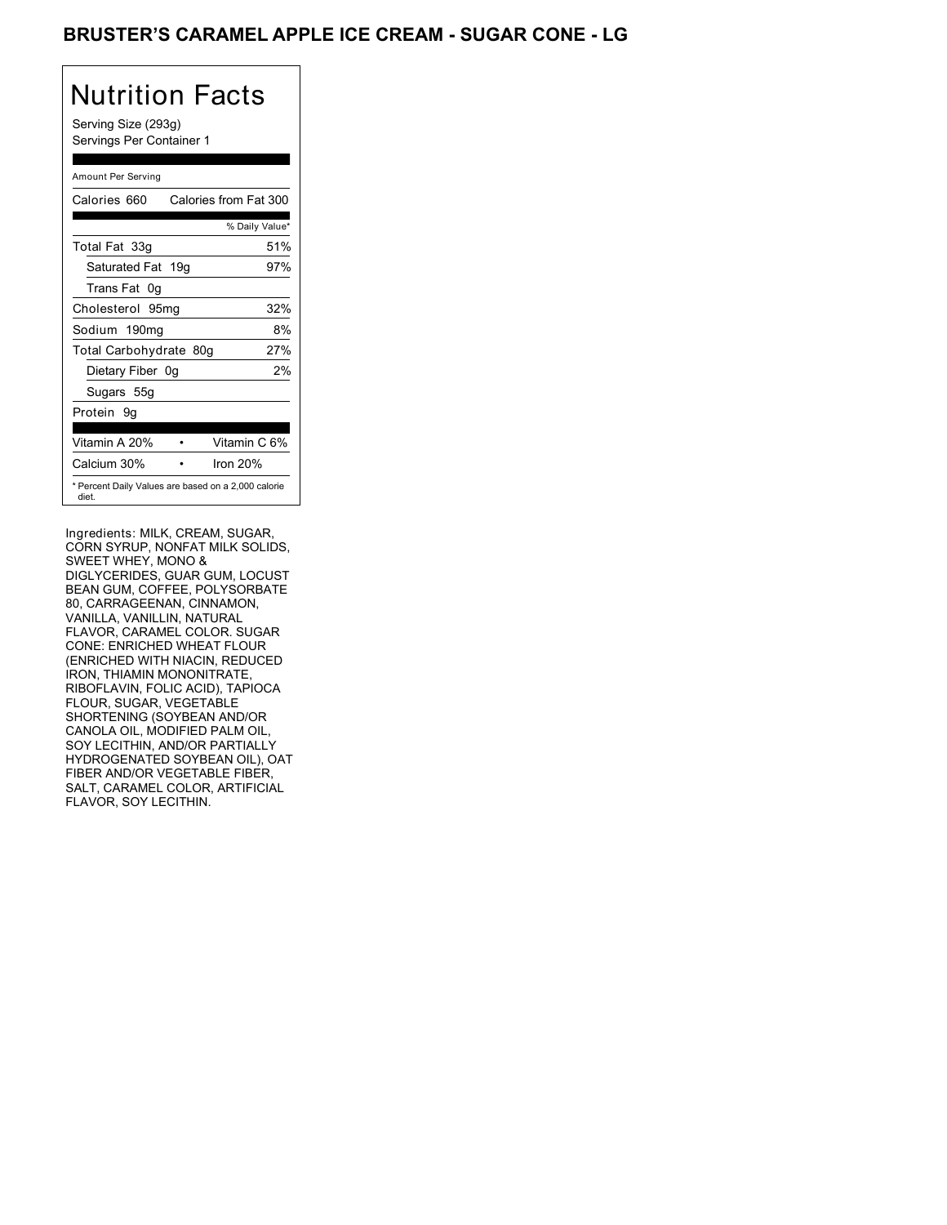## BRUSTER'S CARAMEL APPLE ICE CREAM - SUGAR CONE - LG

## Nutrition Facts

Serving Size (293g) Servings Per Container 1

#### Amount Per Serving

| Calories 660           | Calories from Fat 300                               |
|------------------------|-----------------------------------------------------|
|                        | % Daily Value*                                      |
| Total Fat 33g          | 51%                                                 |
| Saturated Fat 19g      | 97%                                                 |
| Trans Fat 0q           |                                                     |
| Cholesterol 95mg       | 32%                                                 |
| Sodium 190mg           | 8%                                                  |
| Total Carbohydrate 80g | 27%                                                 |
| Dietary Fiber 0g       | 2%                                                  |
| Sugars 55g             |                                                     |
| Protein 9g             |                                                     |
|                        |                                                     |
| Vitamin A 20%          | Vitamin C 6%                                        |
| Calcium 30%            | Iron 20%                                            |
| diet.                  | * Percent Daily Values are based on a 2,000 calorie |

Ingredients: MILK, CREAM, SUGAR, CORN SYRUP, NONFAT MILK SOLIDS, SWEET WHEY, MONO & DIGLYCERIDES, GUAR GUM, LOCUST BEAN GUM, COFFEE, POLYSORBATE 80, CARRAGEENAN, CINNAMON, VANILLA, VANILLIN, NATURAL FLAVOR, CARAMEL COLOR. SUGAR CONE: ENRICHED WHEAT FLOUR (ENRICHED WITH NIACIN, REDUCED IRON, THIAMIN MONONITRATE, RIBOFLAVIN, FOLIC ACID), TAPIOCA FLOUR, SUGAR, VEGETABLE SHORTENING (SOYBEAN AND/OR CANOLA OIL, MODIFIED PALM OIL, SOY LECITHIN, AND/OR PARTIALLY HYDROGENATED SOYBEAN OIL), OAT FIBER AND/OR VEGETABLE FIBER, SALT, CARAMEL COLOR, ARTIFICIAL FLAVOR, SOY LECITHIN.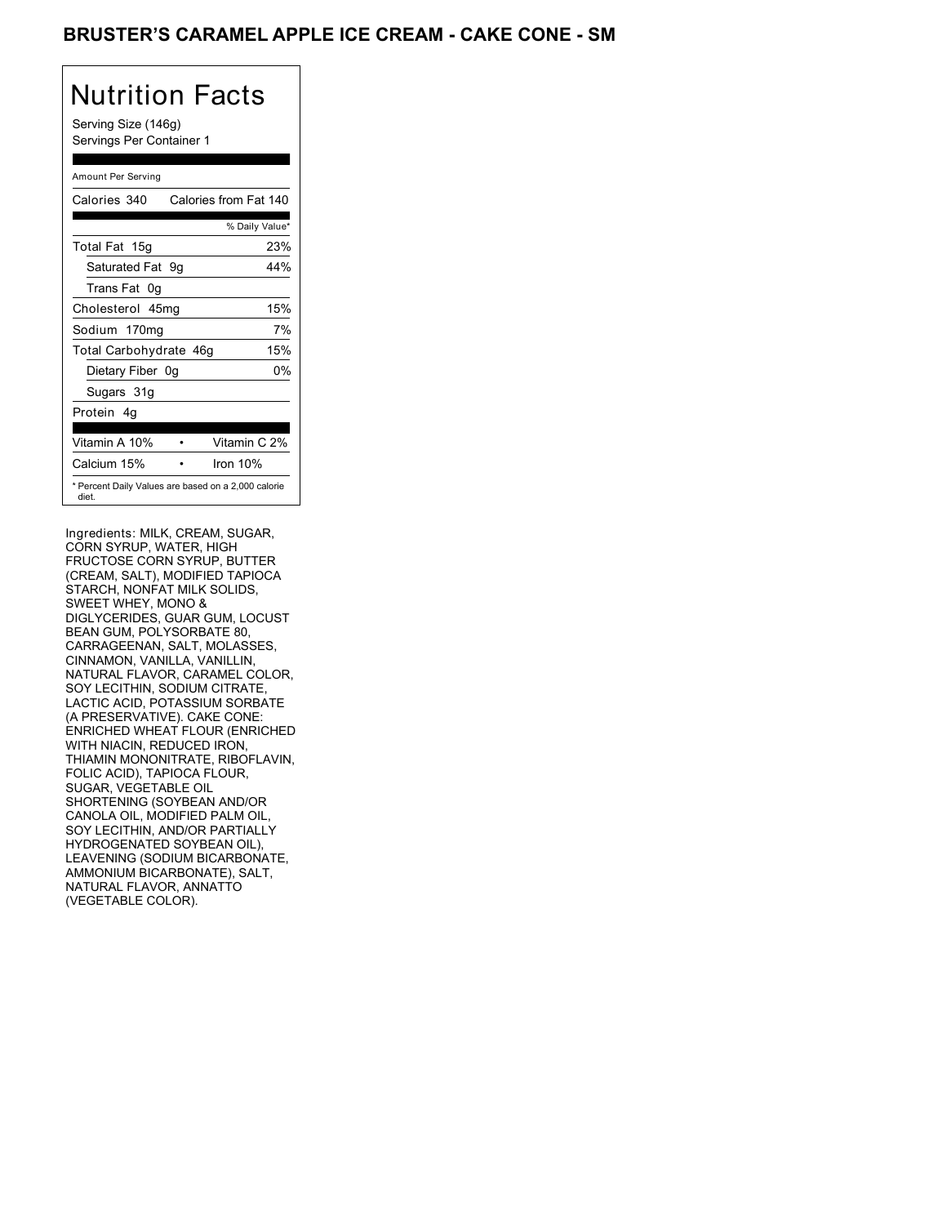## BRUSTER'S CARAMEL APPLE ICE CREAM - CAKE CONE - SM

## Nutrition Facts

Serving Size (146g) Servings Per Container 1

#### Amount Per Serving Calories 340 Calories from Fat 140 % Daily Value\* Total Fat 15g 23% Saturated Fat 9g 44% Trans Fat 0g Cholesterol 45mg 15% Sodium 170mg 7% Total Carbohydrate 46g 15% Dietary Fiber 0g 0% Sugars 31g Protein 4g Vitamin A 10% • Vitamin C 2% Calcium 15% • Iron 10% \* Percent Daily Values are based on a 2,000 calorie diet.

Ingredients: MILK, CREAM, SUGAR, CORN SYRUP, WATER, HIGH FRUCTOSE CORN SYRUP, BUTTER (CREAM, SALT), MODIFIED TAPIOCA STARCH, NONFAT MILK SOLIDS, SWEET WHEY, MONO & DIGLYCERIDES, GUAR GUM, LOCUST BEAN GUM, POLYSORBATE 80, CARRAGEENAN, SALT, MOLASSES, CINNAMON, VANILLA, VANILLIN, NATURAL FLAVOR, CARAMEL COLOR, SOY LECITHIN, SODIUM CITRATE, LACTIC ACID, POTASSIUM SORBATE (A PRESERVATIVE). CAKE CONE: ENRICHED WHEAT FLOUR (ENRICHED WITH NIACIN, REDUCED IRON, THIAMIN MONONITRATE, RIBOFLAVIN, FOLIC ACID), TAPIOCA FLOUR, SUGAR, VEGETABLE OIL SHORTENING (SOYBEAN AND/OR CANOLA OIL, MODIFIED PALM OIL, SOY LECITHIN, AND/OR PARTIALLY HYDROGENATED SOYBEAN OIL), LEAVENING (SODIUM BICARBONATE, AMMONIUM BICARBONATE), SALT, NATURAL FLAVOR, ANNATTO (VEGETABLE COLOR).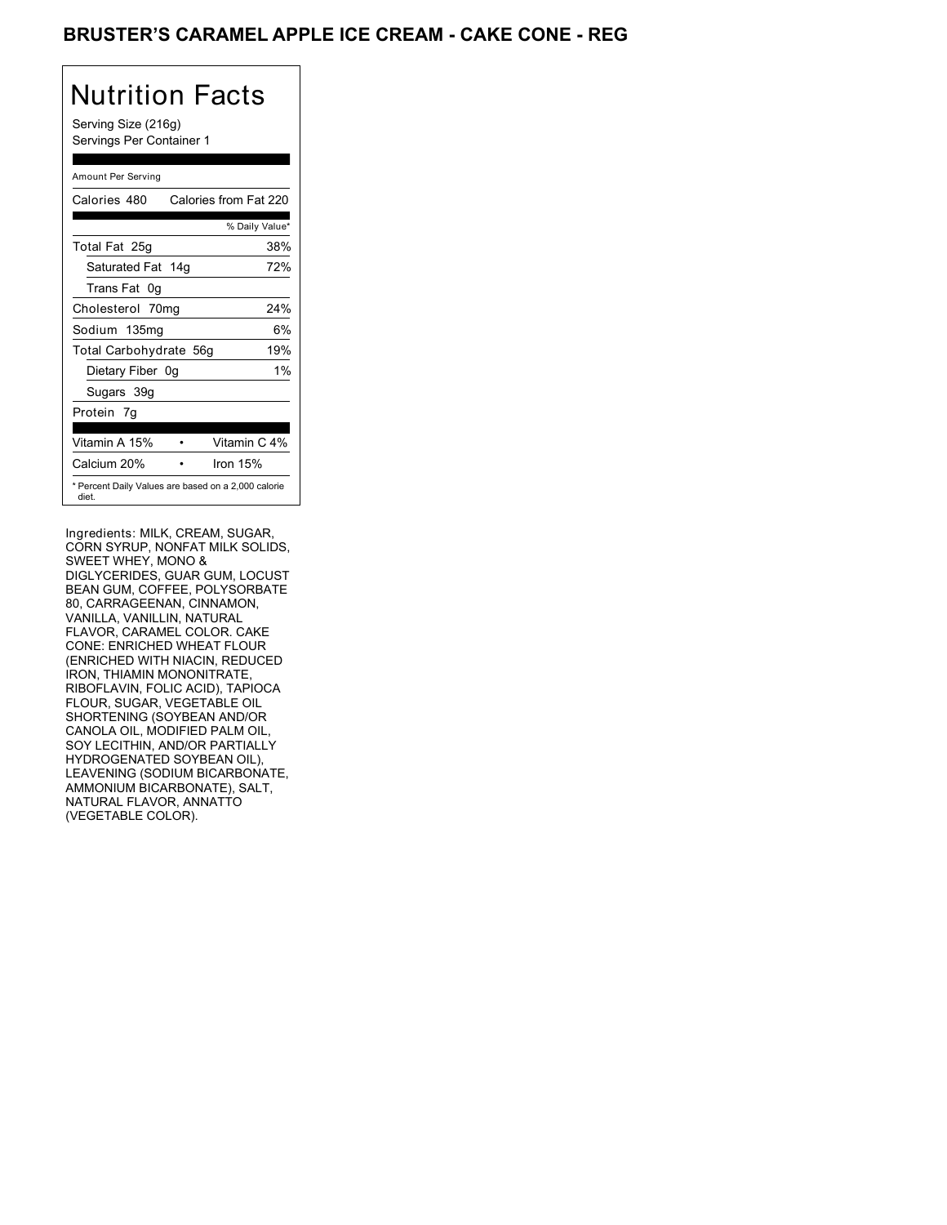## BRUSTER'S CARAMEL APPLE ICE CREAM - CAKE CONE - REG

# Nutrition Facts

Serving Size (216g) Servings Per Container 1

#### Amount Per Serving Calories 480 Calories from Fat 220 % Daily Value\* Total Fat 25g 38% Saturated Fat 14g 72% Trans Fat 0g Cholesterol 70mg 24% Sodium 135mg 6% Total Carbohydrate 56g 19% Dietary Fiber 0g 1% Sugars 39g Protein 7g Vitamin A 15% • Vitamin C 4% Calcium 20% • Iron 15% \* Percent Daily Values are based on a 2,000 calorie diet.

Ingredients: MILK, CREAM, SUGAR, CORN SYRUP, NONFAT MILK SOLIDS, SWEET WHEY, MONO & DIGLYCERIDES, GUAR GUM, LOCUST BEAN GUM, COFFEE, POLYSORBATE 80, CARRAGEENAN, CINNAMON, VANILLA, VANILLIN, NATURAL FLAVOR, CARAMEL COLOR. CAKE CONE: ENRICHED WHEAT FLOUR (ENRICHED WITH NIACIN, REDUCED IRON, THIAMIN MONONITRATE, RIBOFLAVIN, FOLIC ACID), TAPIOCA FLOUR, SUGAR, VEGETABLE OIL SHORTENING (SOYBEAN AND/OR CANOLA OIL, MODIFIED PALM OIL, SOY LECITHIN, AND/OR PARTIALLY HYDROGENATED SOYBEAN OIL), LEAVENING (SODIUM BICARBONATE, AMMONIUM BICARBONATE), SALT, NATURAL FLAVOR, ANNATTO (VEGETABLE COLOR).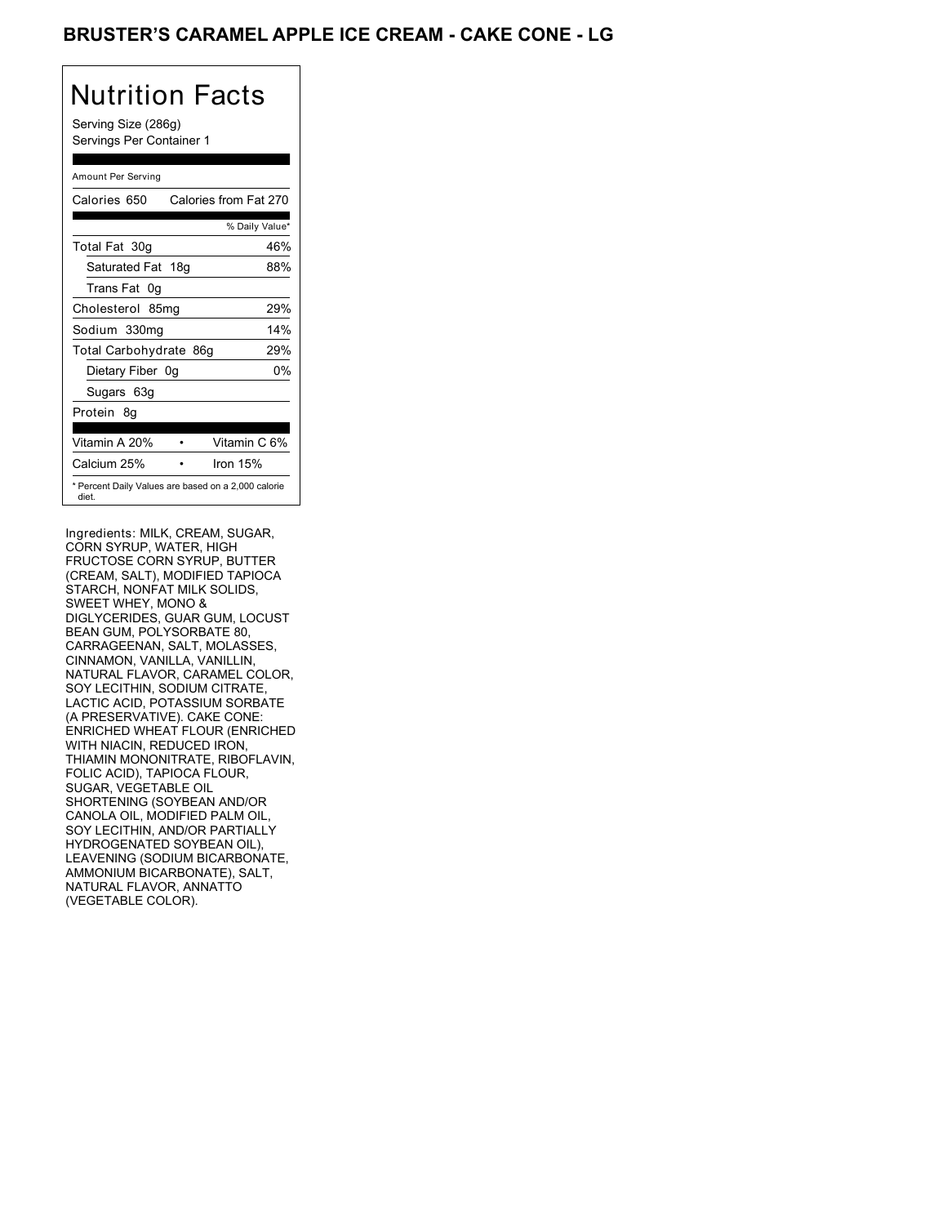## BRUSTER'S CARAMEL APPLE ICE CREAM - CAKE CONE - LG

# Nutrition Facts

Serving Size (286g) Servings Per Container 1

| Amount Per Serving                                           |                       |
|--------------------------------------------------------------|-----------------------|
| Calories 650                                                 | Calories from Fat 270 |
|                                                              | % Daily Value*        |
| Total Fat 30g                                                | 46%                   |
| Saturated Fat 18g                                            | 88%                   |
| Trans Fat<br>0g                                              |                       |
| Cholesterol 85mg                                             | 29%                   |
| Sodium 330mg                                                 | 14%                   |
| Total Carbohydrate 86g                                       | 29%                   |
| Dietary Fiber 0g                                             | 0%                    |
| Sugars 63g                                                   |                       |
| Protein 8q                                                   |                       |
|                                                              |                       |
| Vitamin A 20%                                                | Vitamin C 6%          |
| Calcium 25%                                                  | Iron 15%              |
| * Percent Daily Values are based on a 2,000 calorie<br>diet. |                       |

Ingredients: MILK, CREAM, SUGAR, CORN SYRUP, WATER, HIGH FRUCTOSE CORN SYRUP, BUTTER (CREAM, SALT), MODIFIED TAPIOCA STARCH, NONFAT MILK SOLIDS, SWEET WHEY, MONO & DIGLYCERIDES, GUAR GUM, LOCUST BEAN GUM, POLYSORBATE 80, CARRAGEENAN, SALT, MOLASSES, CINNAMON, VANILLA, VANILLIN, NATURAL FLAVOR, CARAMEL COLOR, SOY LECITHIN, SODIUM CITRATE, LACTIC ACID, POTASSIUM SORBATE (A PRESERVATIVE). CAKE CONE: ENRICHED WHEAT FLOUR (ENRICHED WITH NIACIN, REDUCED IRON, THIAMIN MONONITRATE, RIBOFLAVIN, FOLIC ACID), TAPIOCA FLOUR, SUGAR, VEGETABLE OIL SHORTENING (SOYBEAN AND/OR CANOLA OIL, MODIFIED PALM OIL, SOY LECITHIN, AND/OR PARTIALLY HYDROGENATED SOYBEAN OIL), LEAVENING (SODIUM BICARBONATE, AMMONIUM BICARBONATE), SALT, NATURAL FLAVOR, ANNATTO (VEGETABLE COLOR).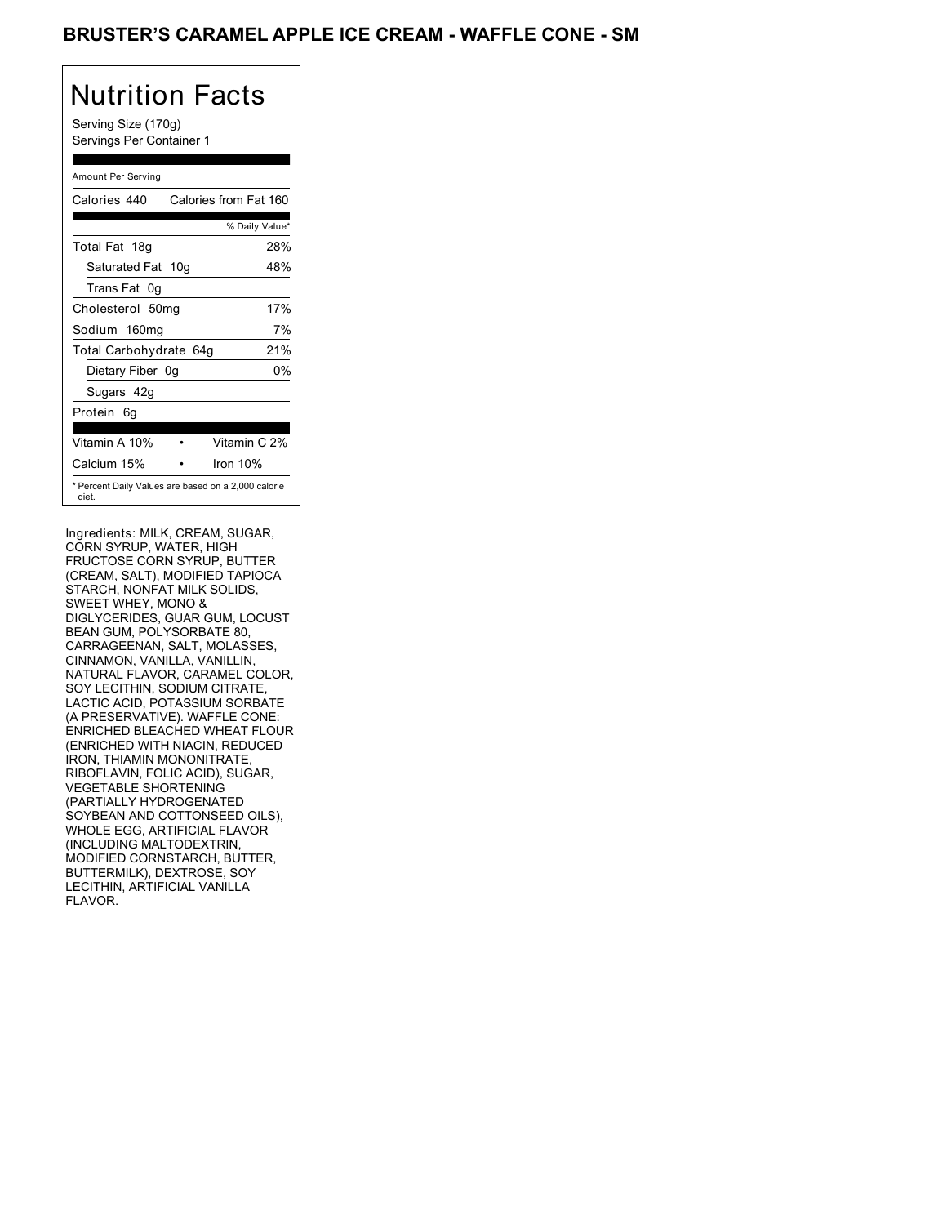### BRUSTER'S CARAMEL APPLE ICE CREAM - WAFFLE CONE - SM

# Nutrition Facts

Serving Size (170g) Servings Per Container 1

#### Amount Per Serving

| Calories 440           | Calories from Fat 160                               |
|------------------------|-----------------------------------------------------|
|                        | % Daily Value*                                      |
| Total Fat 18g          | 28%                                                 |
| Saturated Fat 10g      | 48%                                                 |
| Trans Fat 0q           |                                                     |
| Cholesterol 50mg       | 17%                                                 |
| Sodium 160mg           | 7%                                                  |
| Total Carbohydrate 64g | 21%                                                 |
| Dietary Fiber 0g       | 0%                                                  |
| Sugars 42g             |                                                     |
| Protein 6q             |                                                     |
|                        |                                                     |
| Vitamin A 10%          | Vitamin C 2%                                        |
| Calcium 15%            | Iron 10%                                            |
| diet.                  | * Percent Daily Values are based on a 2,000 calorie |

Ingredients: MILK, CREAM, SUGAR, CORN SYRUP, WATER, HIGH FRUCTOSE CORN SYRUP, BUTTER (CREAM, SALT), MODIFIED TAPIOCA STARCH, NONFAT MILK SOLIDS, SWEET WHEY, MONO & DIGLYCERIDES, GUAR GUM, LOCUST BEAN GUM, POLYSORBATE 80, CARRAGEENAN, SALT, MOLASSES, CINNAMON, VANILLA, VANILLIN, NATURAL FLAVOR, CARAMEL COLOR, SOY LECITHIN, SODIUM CITRATE, LACTIC ACID, POTASSIUM SORBATE (A PRESERVATIVE). WAFFLE CONE: ENRICHED BLEACHED WHEAT FLOUR (ENRICHED WITH NIACIN, REDUCED IRON, THIAMIN MONONITRATE, RIBOFLAVIN, FOLIC ACID), SUGAR, VEGETABLE SHORTENING (PARTIALLY HYDROGENATED SOYBEAN AND COTTONSEED OILS), WHOLE EGG, ARTIFICIAL FLAVOR (INCLUDING MALTODEXTRIN, MODIFIED CORNSTARCH, BUTTER, BUTTERMILK), DEXTROSE, SOY LECITHIN, ARTIFICIAL VANILLA FLAVOR.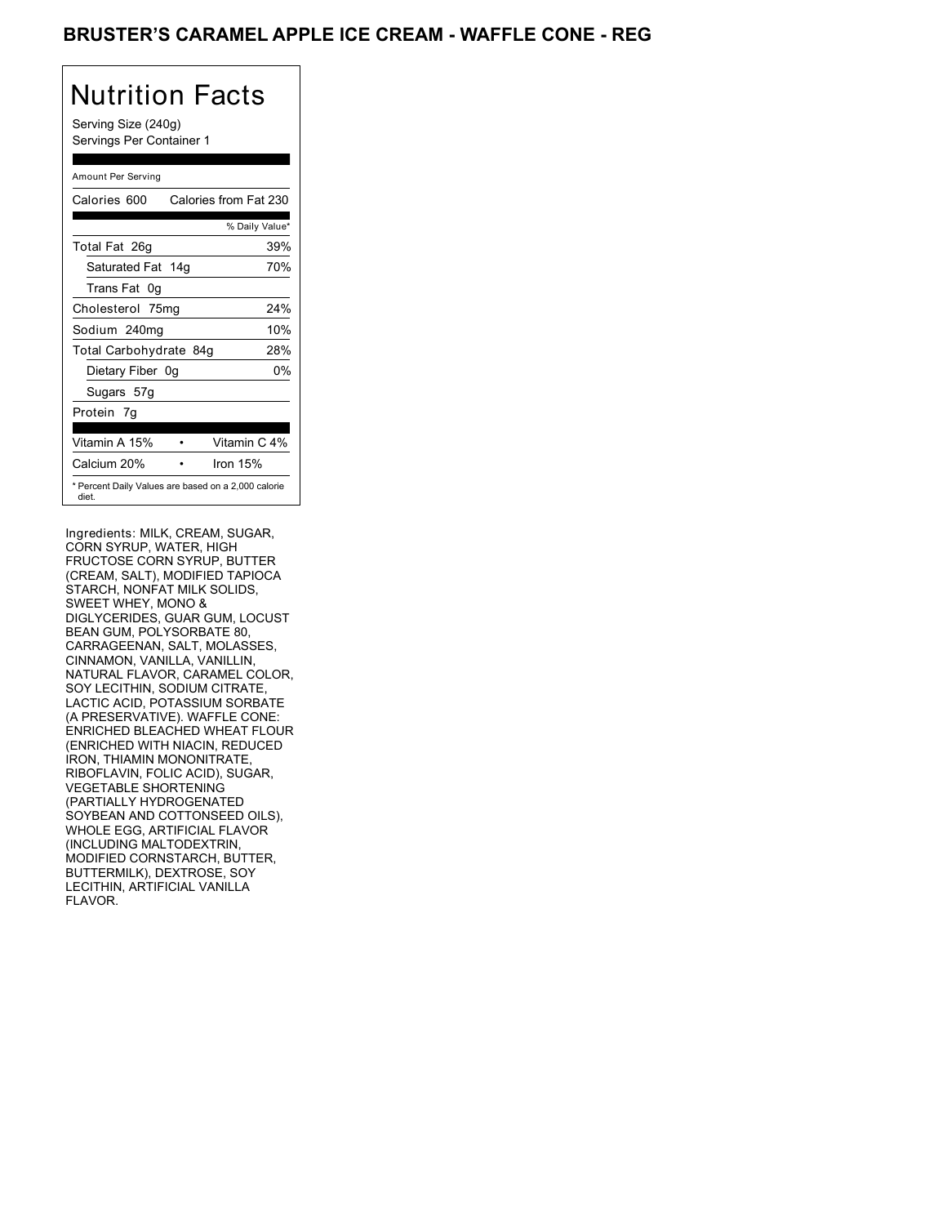### BRUSTER'S CARAMEL APPLE ICE CREAM - WAFFLE CONE - REG

# Nutrition Facts

Serving Size (240g) Servings Per Container 1

#### Amount Per Serving

| Calories 600                                                 | Calories from Fat 230 |
|--------------------------------------------------------------|-----------------------|
|                                                              | % Daily Value*        |
| Total Fat 26q                                                | 39%                   |
| Saturated Fat 14g                                            | 70%                   |
| Trans Fat 0g                                                 |                       |
| Cholesterol 75mg                                             | 24%                   |
| Sodium 240mg                                                 | 10%                   |
| Total Carbohydrate 84g                                       | 28%                   |
| Dietary Fiber 0g                                             | 0%                    |
| Sugars 57g                                                   |                       |
| Protein 7g                                                   |                       |
|                                                              |                       |
| Vitamin A 15%                                                | Vitamin C 4%          |
| Calcium 20%                                                  | Iron 15%              |
| * Percent Daily Values are based on a 2,000 calorie<br>diet. |                       |

Ingredients: MILK, CREAM, SUGAR, CORN SYRUP, WATER, HIGH FRUCTOSE CORN SYRUP, BUTTER (CREAM, SALT), MODIFIED TAPIOCA STARCH, NONFAT MILK SOLIDS, SWEET WHEY, MONO & DIGLYCERIDES, GUAR GUM, LOCUST BEAN GUM, POLYSORBATE 80, CARRAGEENAN, SALT, MOLASSES, CINNAMON, VANILLA, VANILLIN, NATURAL FLAVOR, CARAMEL COLOR, SOY LECITHIN, SODIUM CITRATE, LACTIC ACID, POTASSIUM SORBATE (A PRESERVATIVE). WAFFLE CONE: ENRICHED BLEACHED WHEAT FLOUR (ENRICHED WITH NIACIN, REDUCED IRON, THIAMIN MONONITRATE, RIBOFLAVIN, FOLIC ACID), SUGAR, VEGETABLE SHORTENING (PARTIALLY HYDROGENATED SOYBEAN AND COTTONSEED OILS), WHOLE EGG, ARTIFICIAL FLAVOR (INCLUDING MALTODEXTRIN, MODIFIED CORNSTARCH, BUTTER, BUTTERMILK), DEXTROSE, SOY LECITHIN, ARTIFICIAL VANILLA FLAVOR.